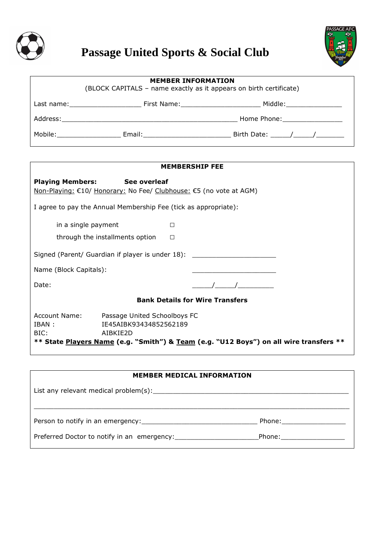

# **Passage United Sports & Social Club**



| <b>MEMBER INFORMATION</b><br>(BLOCK CAPITALS - name exactly as it appears on birth certificate)                                                                                                                                |  |                                                                                                                |  |  |
|--------------------------------------------------------------------------------------------------------------------------------------------------------------------------------------------------------------------------------|--|----------------------------------------------------------------------------------------------------------------|--|--|
|                                                                                                                                                                                                                                |  | Last name: The Territon of Times Contract Times Contract Times Contract Times Contract Times Contract Times Co |  |  |
|                                                                                                                                                                                                                                |  | Home Phone: National Assembly Phone:                                                                           |  |  |
| Mobile: and the motion of the second series of the series of the series of the series of the series of the series of the series of the series of the series of the series of the series of the series of the series of the ser |  | Birth Date: ( )                                                                                                |  |  |

| <b>MEMBERSHIP FEE</b>                                                                                                                                                                                         |  |  |  |  |  |
|---------------------------------------------------------------------------------------------------------------------------------------------------------------------------------------------------------------|--|--|--|--|--|
| <b>Playing Members: See overleaf</b><br>Non-Playing: €10/ Honorary: No Fee/ Clubhouse: €5 (no vote at AGM)                                                                                                    |  |  |  |  |  |
| I agree to pay the Annual Membership Fee (tick as appropriate):                                                                                                                                               |  |  |  |  |  |
| in a single payment<br>П                                                                                                                                                                                      |  |  |  |  |  |
| through the installments option<br>П                                                                                                                                                                          |  |  |  |  |  |
| Signed (Parent/ Guardian if player is under 18):                                                                                                                                                              |  |  |  |  |  |
| Name (Block Capitals):                                                                                                                                                                                        |  |  |  |  |  |
| Date:                                                                                                                                                                                                         |  |  |  |  |  |
| <b>Bank Details for Wire Transfers</b>                                                                                                                                                                        |  |  |  |  |  |
| Account Name:<br>Passage United Schoolboys FC<br>IE45AIBK93434852562189<br>IBAN :<br>BIC:<br>AIBKIE2D<br>** State <u>Players Name</u> (e.g. "Smith") & <u>Team</u> (e.g. "U12 Boys") on all wire transfers ** |  |  |  |  |  |

| <b>MEMBER MEDICAL INFORMATION</b> |                              |  |  |  |  |  |
|-----------------------------------|------------------------------|--|--|--|--|--|
|                                   |                              |  |  |  |  |  |
|                                   |                              |  |  |  |  |  |
|                                   | Phone: ________________      |  |  |  |  |  |
|                                   | Phone: _____________________ |  |  |  |  |  |